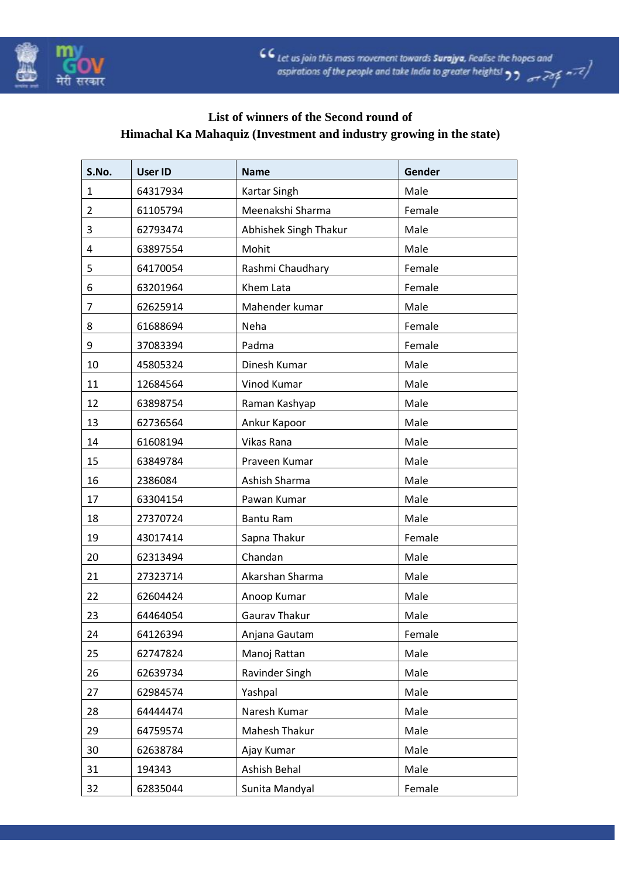



## **List of winners of the Second round of Himachal Ka Mahaquiz (Investment and industry growing in the state)**

| S.No.          | <b>User ID</b> | <b>Name</b>           | Gender |
|----------------|----------------|-----------------------|--------|
| 1              | 64317934       | Kartar Singh          | Male   |
| $\overline{2}$ | 61105794       | Meenakshi Sharma      | Female |
| 3              | 62793474       | Abhishek Singh Thakur | Male   |
| 4              | 63897554       | Mohit                 | Male   |
| 5              | 64170054       | Rashmi Chaudhary      | Female |
| 6              | 63201964       | Khem Lata             | Female |
| $\overline{7}$ | 62625914       | Mahender kumar        | Male   |
| 8              | 61688694       | Neha                  | Female |
| 9              | 37083394       | Padma                 | Female |
| 10             | 45805324       | Dinesh Kumar          | Male   |
| 11             | 12684564       | Vinod Kumar           | Male   |
| 12             | 63898754       | Raman Kashyap         | Male   |
| 13             | 62736564       | Ankur Kapoor          | Male   |
| 14             | 61608194       | Vikas Rana            | Male   |
| 15             | 63849784       | Praveen Kumar         | Male   |
| 16             | 2386084        | Ashish Sharma         | Male   |
| 17             | 63304154       | Pawan Kumar           | Male   |
| 18             | 27370724       | <b>Bantu Ram</b>      | Male   |
| 19             | 43017414       | Sapna Thakur          | Female |
| 20             | 62313494       | Chandan               | Male   |
| 21             | 27323714       | Akarshan Sharma       | Male   |
| 22             | 62604424       | Anoop Kumar           | Male   |
| 23             | 64464054       | Gaurav Thakur         | Male   |
| 24             | 64126394       | Anjana Gautam         | Female |
| 25             | 62747824       | Manoj Rattan          | Male   |
| 26             | 62639734       | Ravinder Singh        | Male   |
| 27             | 62984574       | Yashpal               | Male   |
| 28             | 64444474       | Naresh Kumar          | Male   |
| 29             | 64759574       | Mahesh Thakur         | Male   |
| 30             | 62638784       | Ajay Kumar            | Male   |
| 31             | 194343         | Ashish Behal          | Male   |
| 32             | 62835044       | Sunita Mandyal        | Female |